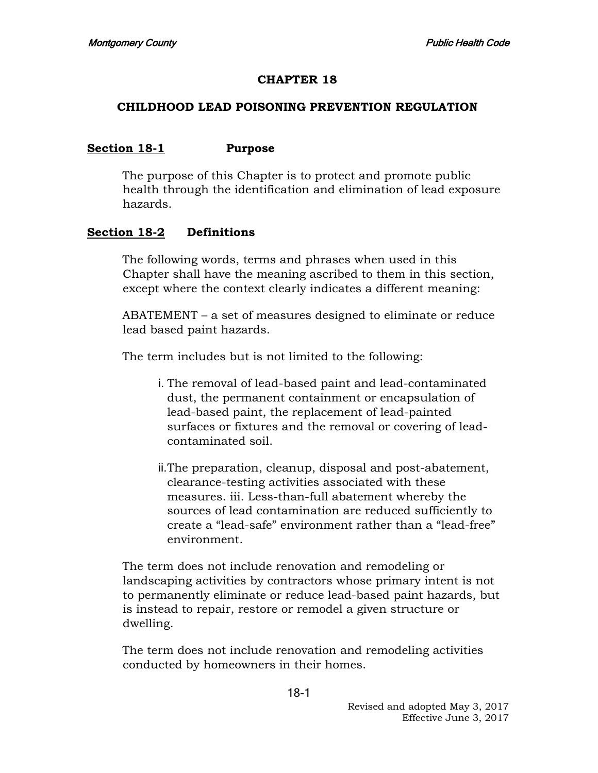#### **CHAPTER 18**

#### **CHILDHOOD LEAD POISONING PREVENTION REGULATION**

#### **Section 18-1 Purpose**

The purpose of this Chapter is to protect and promote public health through the identification and elimination of lead exposure hazards.

#### **Section 18-2 Definitions**

The following words, terms and phrases when used in this Chapter shall have the meaning ascribed to them in this section, except where the context clearly indicates a different meaning:

ABATEMENT – a set of measures designed to eliminate or reduce lead based paint hazards.

The term includes but is not limited to the following:

- i. The removal of lead-based paint and lead-contaminated dust, the permanent containment or encapsulation of lead-based paint, the replacement of lead-painted surfaces or fixtures and the removal or covering of leadcontaminated soil.
- ii.The preparation, cleanup, disposal and post-abatement, clearance-testing activities associated with these measures. iii. Less-than-full abatement whereby the sources of lead contamination are reduced sufficiently to create a "lead-safe" environment rather than a "lead-free" environment.

The term does not include renovation and remodeling or landscaping activities by contractors whose primary intent is not to permanently eliminate or reduce lead-based paint hazards, but is instead to repair, restore or remodel a given structure or dwelling.

The term does not include renovation and remodeling activities conducted by homeowners in their homes.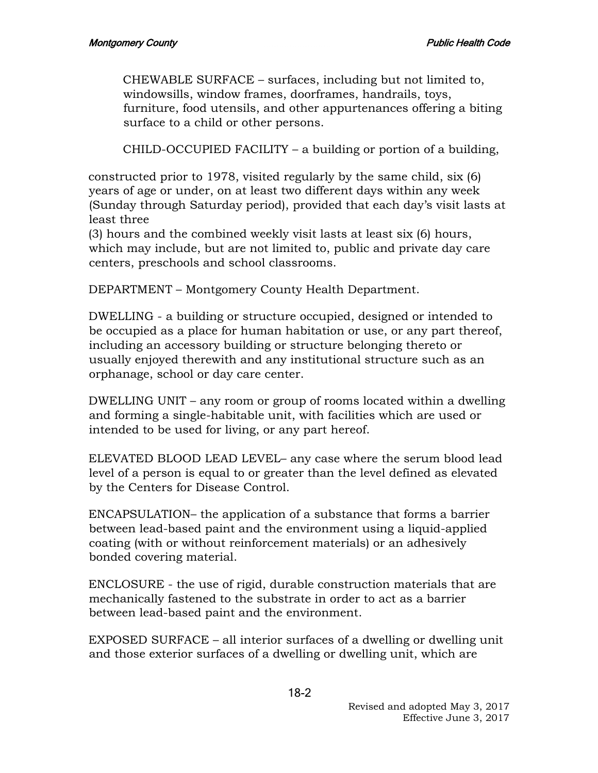CHEWABLE SURFACE – surfaces, including but not limited to, windowsills, window frames, doorframes, handrails, toys, furniture, food utensils, and other appurtenances offering a biting surface to a child or other persons.

CHILD-OCCUPIED FACILITY – a building or portion of a building,

constructed prior to 1978, visited regularly by the same child, six (6) years of age or under, on at least two different days within any week (Sunday through Saturday period), provided that each day's visit lasts at least three

(3) hours and the combined weekly visit lasts at least six (6) hours, which may include, but are not limited to, public and private day care centers, preschools and school classrooms.

DEPARTMENT – Montgomery County Health Department.

DWELLING - a building or structure occupied, designed or intended to be occupied as a place for human habitation or use, or any part thereof, including an accessory building or structure belonging thereto or usually enjoyed therewith and any institutional structure such as an orphanage, school or day care center.

DWELLING UNIT – any room or group of rooms located within a dwelling and forming a single-habitable unit, with facilities which are used or intended to be used for living, or any part hereof.

ELEVATED BLOOD LEAD LEVEL– any case where the serum blood lead level of a person is equal to or greater than the level defined as elevated by the Centers for Disease Control.

ENCAPSULATION– the application of a substance that forms a barrier between lead-based paint and the environment using a liquid-applied coating (with or without reinforcement materials) or an adhesively bonded covering material.

ENCLOSURE - the use of rigid, durable construction materials that are mechanically fastened to the substrate in order to act as a barrier between lead-based paint and the environment.

EXPOSED SURFACE – all interior surfaces of a dwelling or dwelling unit and those exterior surfaces of a dwelling or dwelling unit, which are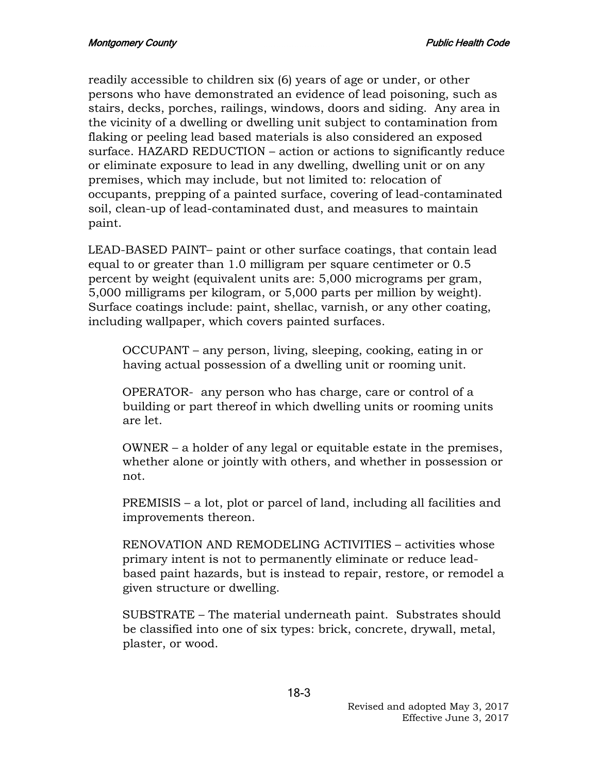readily accessible to children six (6) years of age or under, or other persons who have demonstrated an evidence of lead poisoning, such as stairs, decks, porches, railings, windows, doors and siding. Any area in the vicinity of a dwelling or dwelling unit subject to contamination from flaking or peeling lead based materials is also considered an exposed surface. HAZARD REDUCTION – action or actions to significantly reduce or eliminate exposure to lead in any dwelling, dwelling unit or on any premises, which may include, but not limited to: relocation of occupants, prepping of a painted surface, covering of lead-contaminated soil, clean-up of lead-contaminated dust, and measures to maintain paint.

LEAD-BASED PAINT– paint or other surface coatings, that contain lead equal to or greater than 1.0 milligram per square centimeter or 0.5 percent by weight (equivalent units are: 5,000 micrograms per gram, 5,000 milligrams per kilogram, or 5,000 parts per million by weight). Surface coatings include: paint, shellac, varnish, or any other coating, including wallpaper, which covers painted surfaces.

OCCUPANT – any person, living, sleeping, cooking, eating in or having actual possession of a dwelling unit or rooming unit.

OPERATOR- any person who has charge, care or control of a building or part thereof in which dwelling units or rooming units are let.

OWNER – a holder of any legal or equitable estate in the premises, whether alone or jointly with others, and whether in possession or not.

PREMISIS – a lot, plot or parcel of land, including all facilities and improvements thereon.

RENOVATION AND REMODELING ACTIVITIES – activities whose primary intent is not to permanently eliminate or reduce leadbased paint hazards, but is instead to repair, restore, or remodel a given structure or dwelling.

SUBSTRATE – The material underneath paint. Substrates should be classified into one of six types: brick, concrete, drywall, metal, plaster, or wood.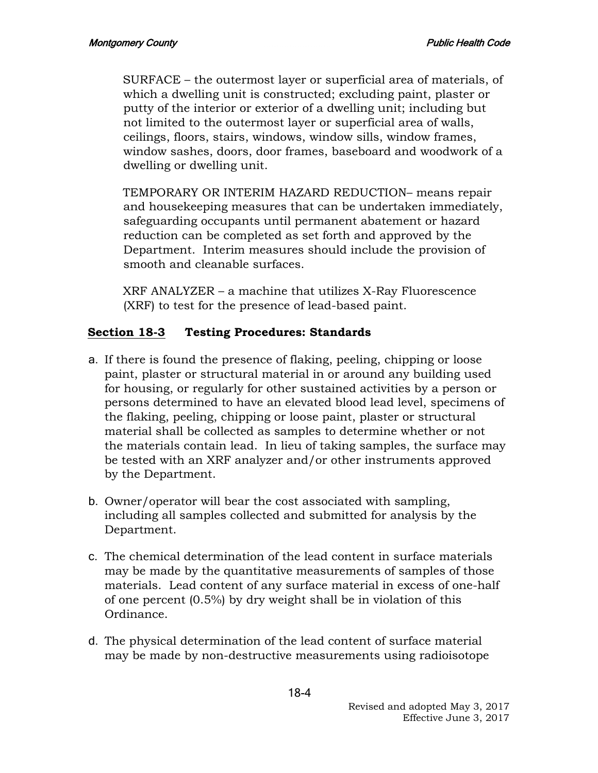SURFACE – the outermost layer or superficial area of materials, of which a dwelling unit is constructed; excluding paint, plaster or putty of the interior or exterior of a dwelling unit; including but not limited to the outermost layer or superficial area of walls, ceilings, floors, stairs, windows, window sills, window frames, window sashes, doors, door frames, baseboard and woodwork of a dwelling or dwelling unit.

TEMPORARY OR INTERIM HAZARD REDUCTION– means repair and housekeeping measures that can be undertaken immediately, safeguarding occupants until permanent abatement or hazard reduction can be completed as set forth and approved by the Department. Interim measures should include the provision of smooth and cleanable surfaces.

XRF ANALYZER – a machine that utilizes X-Ray Fluorescence (XRF) to test for the presence of lead-based paint.

# **Section 18-3 Testing Procedures: Standards**

- a. If there is found the presence of flaking, peeling, chipping or loose paint, plaster or structural material in or around any building used for housing, or regularly for other sustained activities by a person or persons determined to have an elevated blood lead level, specimens of the flaking, peeling, chipping or loose paint, plaster or structural material shall be collected as samples to determine whether or not the materials contain lead. In lieu of taking samples, the surface may be tested with an XRF analyzer and/or other instruments approved by the Department.
- b. Owner/operator will bear the cost associated with sampling, including all samples collected and submitted for analysis by the Department.
- c. The chemical determination of the lead content in surface materials may be made by the quantitative measurements of samples of those materials. Lead content of any surface material in excess of one-half of one percent (0.5%) by dry weight shall be in violation of this Ordinance.
- d. The physical determination of the lead content of surface material may be made by non-destructive measurements using radioisotope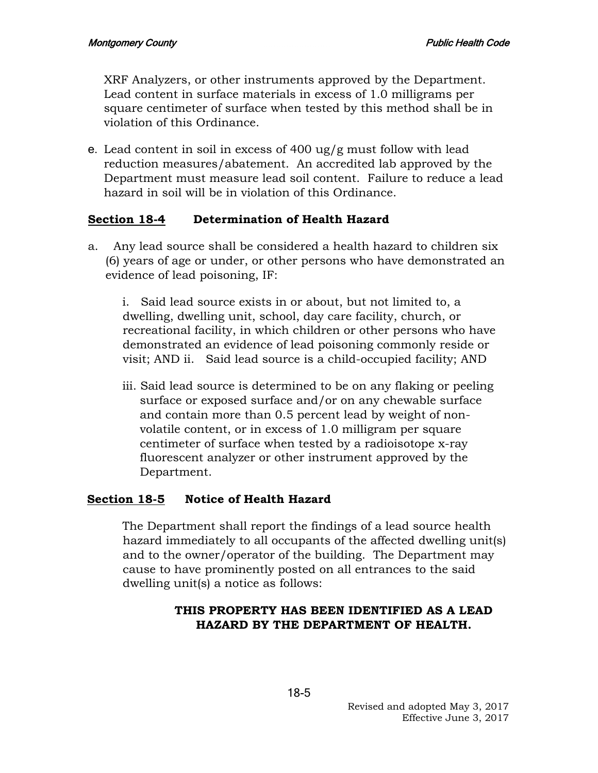XRF Analyzers, or other instruments approved by the Department. Lead content in surface materials in excess of 1.0 milligrams per square centimeter of surface when tested by this method shall be in violation of this Ordinance.

e. Lead content in soil in excess of 400 ug/g must follow with lead reduction measures/abatement. An accredited lab approved by the Department must measure lead soil content. Failure to reduce a lead hazard in soil will be in violation of this Ordinance.

### **Section 18-4 Determination of Health Hazard**

a. Any lead source shall be considered a health hazard to children six (6) years of age or under, or other persons who have demonstrated an evidence of lead poisoning, IF:

i. Said lead source exists in or about, but not limited to, a dwelling, dwelling unit, school, day care facility, church, or recreational facility, in which children or other persons who have demonstrated an evidence of lead poisoning commonly reside or visit; AND ii. Said lead source is a child-occupied facility; AND

iii. Said lead source is determined to be on any flaking or peeling surface or exposed surface and/or on any chewable surface and contain more than 0.5 percent lead by weight of nonvolatile content, or in excess of 1.0 milligram per square centimeter of surface when tested by a radioisotope x-ray fluorescent analyzer or other instrument approved by the Department.

### **Section 18-5 Notice of Health Hazard**

The Department shall report the findings of a lead source health hazard immediately to all occupants of the affected dwelling unit(s) and to the owner/operator of the building. The Department may cause to have prominently posted on all entrances to the said dwelling unit(s) a notice as follows:

### **THIS PROPERTY HAS BEEN IDENTIFIED AS A LEAD HAZARD BY THE DEPARTMENT OF HEALTH.**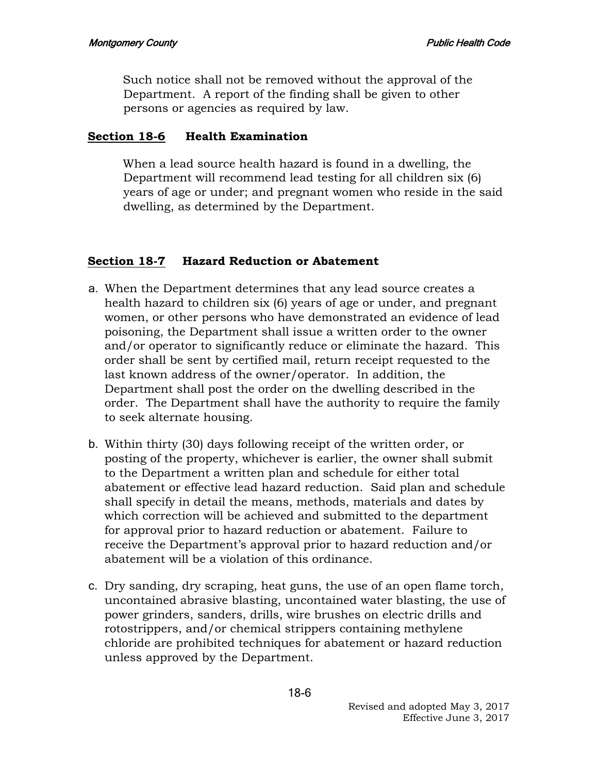Such notice shall not be removed without the approval of the Department. A report of the finding shall be given to other persons or agencies as required by law.

### **Section 18-6 Health Examination**

When a lead source health hazard is found in a dwelling, the Department will recommend lead testing for all children six (6) years of age or under; and pregnant women who reside in the said dwelling, as determined by the Department.

# **Section 18-7 Hazard Reduction or Abatement**

- a. When the Department determines that any lead source creates a health hazard to children six (6) years of age or under, and pregnant women, or other persons who have demonstrated an evidence of lead poisoning, the Department shall issue a written order to the owner and/or operator to significantly reduce or eliminate the hazard. This order shall be sent by certified mail, return receipt requested to the last known address of the owner/operator. In addition, the Department shall post the order on the dwelling described in the order. The Department shall have the authority to require the family to seek alternate housing.
- b. Within thirty (30) days following receipt of the written order, or posting of the property, whichever is earlier, the owner shall submit to the Department a written plan and schedule for either total abatement or effective lead hazard reduction. Said plan and schedule shall specify in detail the means, methods, materials and dates by which correction will be achieved and submitted to the department for approval prior to hazard reduction or abatement. Failure to receive the Department's approval prior to hazard reduction and/or abatement will be a violation of this ordinance.
- c. Dry sanding, dry scraping, heat guns, the use of an open flame torch, uncontained abrasive blasting, uncontained water blasting, the use of power grinders, sanders, drills, wire brushes on electric drills and rotostrippers, and/or chemical strippers containing methylene chloride are prohibited techniques for abatement or hazard reduction unless approved by the Department.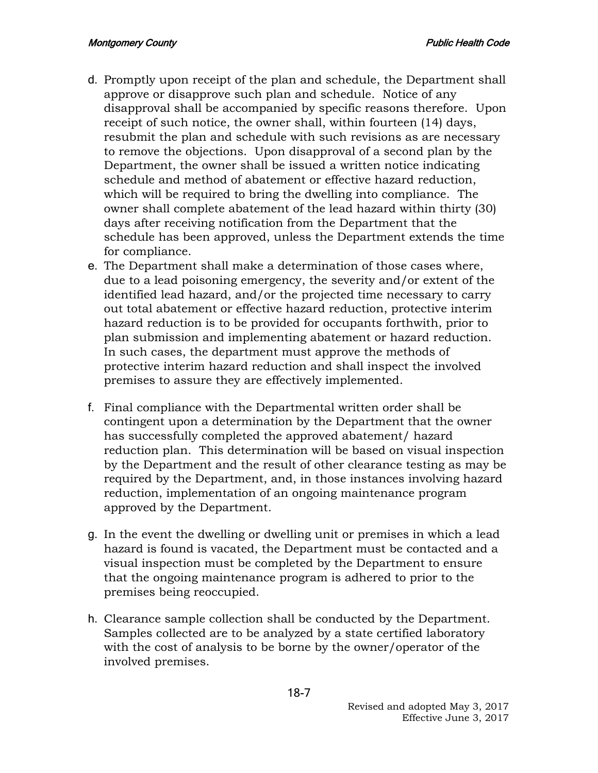- d. Promptly upon receipt of the plan and schedule, the Department shall approve or disapprove such plan and schedule. Notice of any disapproval shall be accompanied by specific reasons therefore. Upon receipt of such notice, the owner shall, within fourteen (14) days, resubmit the plan and schedule with such revisions as are necessary to remove the objections. Upon disapproval of a second plan by the Department, the owner shall be issued a written notice indicating schedule and method of abatement or effective hazard reduction, which will be required to bring the dwelling into compliance. The owner shall complete abatement of the lead hazard within thirty (30) days after receiving notification from the Department that the schedule has been approved, unless the Department extends the time for compliance.
- e. The Department shall make a determination of those cases where, due to a lead poisoning emergency, the severity and/or extent of the identified lead hazard, and/or the projected time necessary to carry out total abatement or effective hazard reduction, protective interim hazard reduction is to be provided for occupants forthwith, prior to plan submission and implementing abatement or hazard reduction. In such cases, the department must approve the methods of protective interim hazard reduction and shall inspect the involved premises to assure they are effectively implemented.
- f. Final compliance with the Departmental written order shall be contingent upon a determination by the Department that the owner has successfully completed the approved abatement/ hazard reduction plan. This determination will be based on visual inspection by the Department and the result of other clearance testing as may be required by the Department, and, in those instances involving hazard reduction, implementation of an ongoing maintenance program approved by the Department.
- g. In the event the dwelling or dwelling unit or premises in which a lead hazard is found is vacated, the Department must be contacted and a visual inspection must be completed by the Department to ensure that the ongoing maintenance program is adhered to prior to the premises being reoccupied.
- h. Clearance sample collection shall be conducted by the Department. Samples collected are to be analyzed by a state certified laboratory with the cost of analysis to be borne by the owner/operator of the involved premises.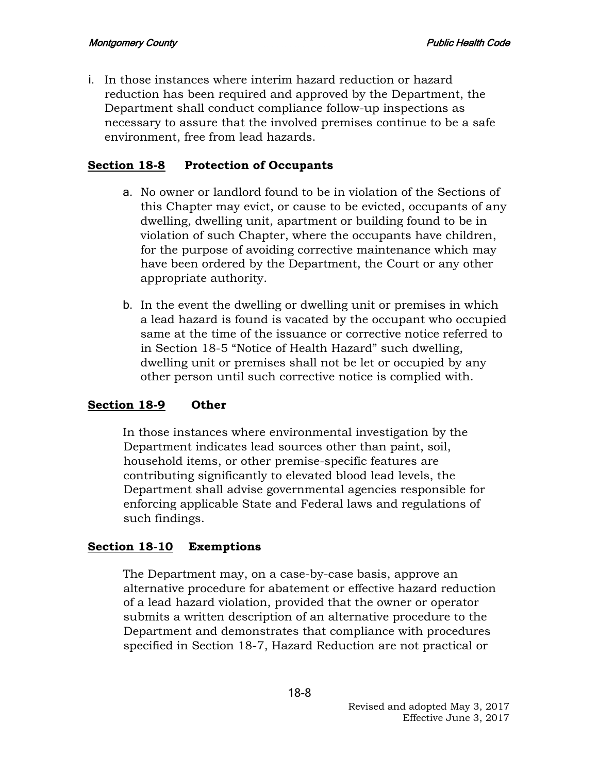i. In those instances where interim hazard reduction or hazard reduction has been required and approved by the Department, the Department shall conduct compliance follow-up inspections as necessary to assure that the involved premises continue to be a safe environment, free from lead hazards.

### **Section 18-8 Protection of Occupants**

- a. No owner or landlord found to be in violation of the Sections of this Chapter may evict, or cause to be evicted, occupants of any dwelling, dwelling unit, apartment or building found to be in violation of such Chapter, where the occupants have children, for the purpose of avoiding corrective maintenance which may have been ordered by the Department, the Court or any other appropriate authority.
- b. In the event the dwelling or dwelling unit or premises in which a lead hazard is found is vacated by the occupant who occupied same at the time of the issuance or corrective notice referred to in Section 18-5 "Notice of Health Hazard" such dwelling, dwelling unit or premises shall not be let or occupied by any other person until such corrective notice is complied with.

# **Section 18-9 Other**

In those instances where environmental investigation by the Department indicates lead sources other than paint, soil, household items, or other premise-specific features are contributing significantly to elevated blood lead levels, the Department shall advise governmental agencies responsible for enforcing applicable State and Federal laws and regulations of such findings.

### **Section 18-10 Exemptions**

The Department may, on a case-by-case basis, approve an alternative procedure for abatement or effective hazard reduction of a lead hazard violation, provided that the owner or operator submits a written description of an alternative procedure to the Department and demonstrates that compliance with procedures specified in Section 18-7, Hazard Reduction are not practical or